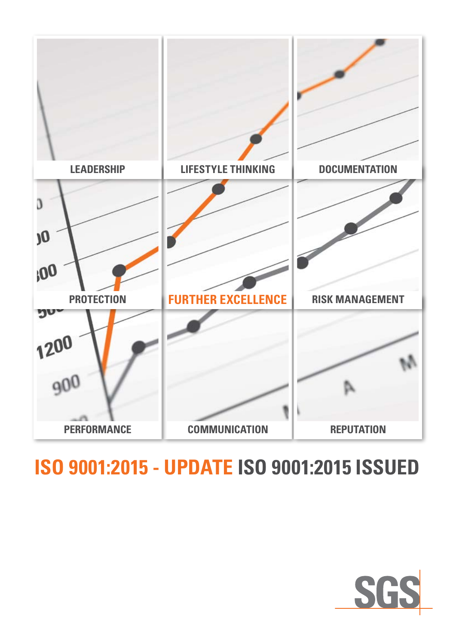

# **ISO 9001:2015 - UPDATE ISO 9001:2015 ISSUED**

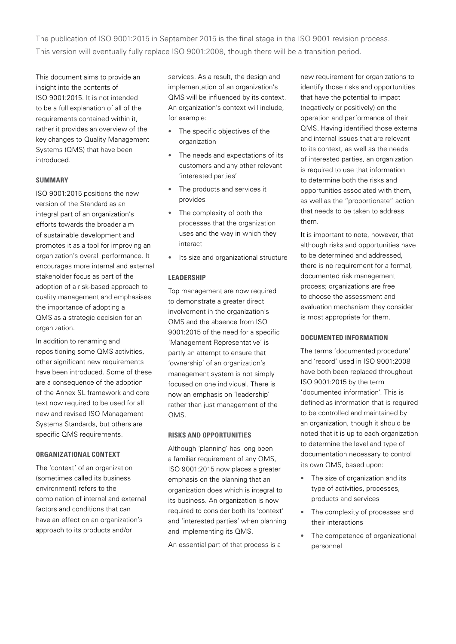The publication of ISO 9001:2015 in September 2015 is the final stage in the ISO 9001 revision process. This version will eventually fully replace ISO 9001:2008, though there will be a transition period.

This document aims to provide an insight into the contents of ISO 9001:2015. It is not intended to be a full explanation of all of the requirements contained within it, rather it provides an overview of the key changes to Quality Management Systems (QMS) that have been introduced.

# **SUMMARY**

ISO 9001:2015 positions the new version of the Standard as an integral part of an organization's efforts towards the broader aim of sustainable development and promotes it as a tool for improving an organization's overall performance. It encourages more internal and external stakeholder focus as part of the adoption of a risk-based approach to quality management and emphasises the importance of adopting a QMS as a strategic decision for an organization.

In addition to renaming and repositioning some QMS activities, other significant new requirements have been introduced. Some of these are a consequence of the adoption of the Annex SL framework and core text now required to be used for all new and revised ISO Management Systems Standards, but others are specific QMS requirements.

# **ORGANIZATIONAL CONTEXT**

The 'context' of an organization (sometimes called its business environment) refers to the combination of internal and external factors and conditions that can have an effect on an organization's approach to its products and/or

services. As a result, the design and implementation of an organization's QMS will be influenced by its context. An organization's context will include, for example:

- The specific objectives of the organization
- The needs and expectations of its customers and any other relevant 'interested parties'
- The products and services it provides
- The complexity of both the processes that the organization uses and the way in which they interact
- Its size and organizational structure

#### **LEADERSHIP**

Top management are now required to demonstrate a greater direct involvement in the organization's QMS and the absence from ISO 9001:2015 of the need for a specific 'Management Representative' is partly an attempt to ensure that 'ownership' of an organization's management system is not simply focused on one individual. There is now an emphasis on 'leadership' rather than just management of the QMS.

#### **RISKS AND OPPORTUNITIES**

Although 'planning' has long been a familiar requirement of any QMS, ISO 9001:2015 now places a greater emphasis on the planning that an organization does which is integral to its business. An organization is now required to consider both its 'context' and 'interested parties' when planning and implementing its QMS.

An essential part of that process is a

new requirement for organizations to identify those risks and opportunities that have the potential to impact (negatively or positively) on the operation and performance of their QMS. Having identified those external and internal issues that are relevant to its context, as well as the needs of interested parties, an organization is required to use that information to determine both the risks and opportunities associated with them, as well as the "proportionate" action that needs to be taken to address them.

It is important to note, however, that although risks and opportunities have to be determined and addressed, there is no requirement for a formal, documented risk management process; organizations are free to choose the assessment and evaluation mechanism they consider is most appropriate for them.

## **DOCUMENTED INFORMATION**

The terms 'documented procedure' and 'record' used in ISO 9001:2008 have both been replaced throughout ISO 9001:2015 by the term 'documented information'. This is defined as information that is required to be controlled and maintained by an organization, though it should be noted that it is up to each organization to determine the level and type of documentation necessary to control its own QMS, based upon:

- The size of organization and its type of activities, processes, products and services
- The complexity of processes and their interactions
- The competence of organizational personnel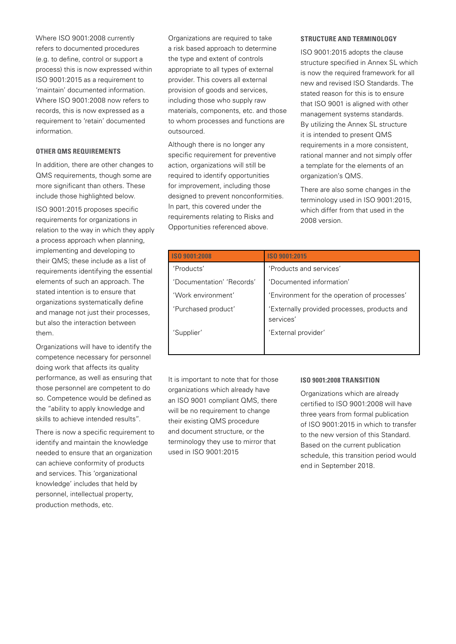Where ISO 9001:2008 currently refers to documented procedures (e.g. to define, control or support a process) this is now expressed within ISO 9001:2015 as a requirement to 'maintain' documented information. Where ISO 9001:2008 now refers to records, this is now expressed as a requirement to 'retain' documented information.

## **OTHER QMS REQUIREMENTS**

In addition, there are other changes to QMS requirements, though some are more significant than others. These include those highlighted below.

ISO 9001:2015 proposes specific requirements for organizations in relation to the way in which they apply a process approach when planning, implementing and developing to their QMS; these include as a list of requirements identifying the essential elements of such an approach. The stated intention is to ensure that organizations systematically define and manage not just their processes, but also the interaction between them.

Organizations will have to identify the competence necessary for personnel doing work that affects its quality performance, as well as ensuring that those personnel are competent to do so. Competence would be defined as the "ability to apply knowledge and skills to achieve intended results".

There is now a specific requirement to identify and maintain the knowledge needed to ensure that an organization can achieve conformity of products and services. This 'organizational knowledge' includes that held by personnel, intellectual property, production methods, etc.

Organizations are required to take a risk based approach to determine the type and extent of controls appropriate to all types of external provider. This covers all external provision of goods and services, including those who supply raw materials, components, etc. and those to whom processes and functions are outsourced.

Although there is no longer any specific requirement for preventive action, organizations will still be required to identify opportunities for improvement, including those designed to prevent nonconformities. In part, this covered under the requirements relating to Risks and Opportunities referenced above.

#### **STRUCTURE AND TERMINOLOGY**

ISO 9001:2015 adopts the clause structure specified in Annex SL which is now the required framework for all new and revised ISO Standards. The stated reason for this is to ensure that ISO 9001 is aligned with other management systems standards. By utilizing the Annex SL structure it is intended to present QMS requirements in a more consistent, rational manner and not simply offer a template for the elements of an organization's QMS.

There are also some changes in the terminology used in ISO 9001:2015, which differ from that used in the 2008 version.

| <b>ISO 9001:2008</b>      | ISO 9001:2015                                             |
|---------------------------|-----------------------------------------------------------|
| 'Products'                | 'Products and services'                                   |
| 'Documentation' 'Records' | 'Documented information'                                  |
| 'Work environment'        | 'Environment for the operation of processes'              |
| 'Purchased product'       | 'Externally provided processes, products and<br>services' |
| 'Supplier'                | 'External provider'                                       |
|                           |                                                           |

It is important to note that for those organizations which already have an ISO 9001 compliant QMS, there will be no requirement to change their existing QMS procedure and document structure, or the terminology they use to mirror that used in ISO 9001:2015

#### **ISO 9001:2008 TRANSITION**

Organizations which are already certified to ISO 9001:2008 will have three years from formal publication of ISO 9001:2015 in which to transfer to the new version of this Standard. Based on the current publication schedule, this transition period would end in September 2018.